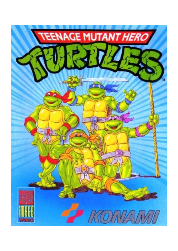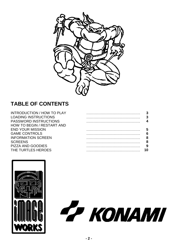

# **TABLE OF CONTENTS**

| <b>INTRODUCTION / HOW TO PLAY</b> |    |
|-----------------------------------|----|
| <b>LOADING INSTRUCTIONS</b>       | 3  |
| <b>PASSWORD INSTRUCTIONS</b>      | Δ  |
| <b>HOW TO BEGIN / RESTART AND</b> |    |
| <b>END YOUR MISSION</b>           | 5  |
| <b>GAME CONTROLS</b>              | 6  |
| <b>INFORMATION SCREEN</b>         | 8  |
| <b>SCREENS</b>                    | 8  |
| <b>PIZZA AND GOODIES</b>          |    |
| THE TURTLES HEROES                | 10 |
|                                   |    |



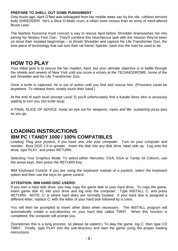#### **PREPARE TO SHELL OUT SOME PUNISHMENT**

Only hours ago, April O'Neil was kidnapped from her mobile news van by the vile, ruthless terrorist bully SHREDDER! He's a Slice-O-Matic crum, a villain more vicious than an army of mind-altered Bruce Lees.

The fearless foursome must concoct a way to rescue April before Shredder brainwashes her into joining his Ninjitsu Foot Clan. They'll combine this treacherous task with the mission they've been on since their mutated beginnings – to thrash Shredder and capture his Life Transformer Gun, the lone piece of technology that can turn their rat friend, Splinter, back into the man he used to be.

#### **HOW TO PLAY**

Your initial goal is to rescue the fair maiden, April, but your ultimate objective is to battle through the streets and sewers of New York until you score a victory at the TECHNODROME, home of the evil Shredder and his Life Transformer Gun.

Once a turtle is captured, he is out of action until you find and rescue him. (Prisoners could be anywhere. To release them, simply touch their hand.)

At the end of each level (except Level 2) you'll unfortunately find a Karate Boss who is anxiously waiting to turn you into turtle soup.

A FINAL SLICE OF ADVICE: Keep an eye out for weapons, ropes and life- sustaining pizza pies as you go.

## **LOADING INSTRUCTIONS IBM PC / TANDY 1000 / 100% COMPATIBLES**

Loading: Plug your joystick, if you have one, into your computer. Turn on your computer and monitor. Boot DOS 2.0 or greater. Insert the disk into any disk drive, label side up. Log onto the drive, type PLAY, and press RETURN.

Selecting Your Graphics Mode: To select either Hercules, CGA, EGA or Tandy 16 Colours, use the arrow keys, then press the RETURN Key.

IBM Keyboard Control: If you are using the keyboard instead of a joystick, select the keyboard option and then use the keys for game control.

#### **ATTENTION: IBM HARD DISC USERS!**

If you own a hard disk drive, you may copy the game disk to your hard drive. To copy the game, insert game disk #1 into your drive and log onto the computer. Type INSTALL C: and press RETURN. NOTE: C: is where hard disks are normally located. If your hard disk is assigned a different letter, replace C: with the letter of your hard disk followed by a colon.

You will then be prompted to insert other disks when necessary. The INSTALL program will automatically create a sub-directory on your hard disk called TMNT. When this function is completed, the computer will prompt you.

(Sometimes this is a long process, so please be patient.) To play the game, log C: then type CD TMNT. Finally, type PLAY into the sub-directory and start the game using the proper loading instructions.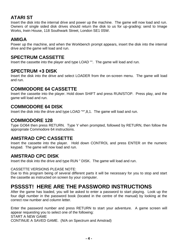## **ATARI ST**

Insert the disk into the internal drive and power up the machine. The game will now load and run. Owners of single sided disk drives should return the disk to us for up-grading: send to Image Works, Irwin House, 118 Southwark Street, London SE1 0SW.

### **AMIGA**

Power up the machine, and when the Workbench prompt appears, insert the disk into the internal drive and the game will load and run.

#### **SPECTRUM CASSETTE**

Insert the cassette into the player and type LOAD "". The game will load and run.

#### **SPECTRUM +3 DISK**

Insert the disk into the drive and select LOADER from the on-screen menu. The game will load and run.

#### **COMMODORE 64 CASSETTE**

Insert the cassette into the player. Hold down SHIFT and press RUN/STOP. Press play, and the game will load and run.

#### **COMMODORE 64 DISK**

Insert the disk into the drive and type LOAD "\*",8,1. The game will load and run.

#### **COMMODORE 128**

Type GO64 then press RETURN. Type Y when prompted, followed by RETURN, then follow the appropriate Commodore 64 instructions.

#### **AMSTRAD CPC CASSETTE**

Insert the cassette into the player. Hold down CONTROL and press ENTER on the numeric keypad. The game will now load and run.

#### **AMSTRAD CPC DISK**

Insert the disk into the drive and type RUN " DISK. The game will load and run.

#### CASSETTE VERSIONS PLEASE NOTE:

Due to this program being of several different parts it will be necessary for you to stop and start the cassette as instructed on screen by your computer.

## **PSSSST! HERE ARE THE PASSWORD INSTRUCTIONS**

After the game has loaded, you will be asked to enter a password to start playing. Look up the four digit number in the password book (located in the centre of the manual) by looking at the correct row number and column letter.

Enter the password number and press RETURN to start your adventure. A game screen will appear requesting you to select one of the following: START A NEW GAME CONTINUE A SAVED GAME. (N/A on Spectrum and Amstrad)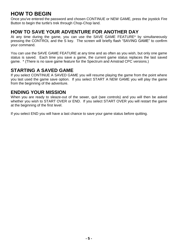# **HOW TO BEGIN**

Once you've entered the password and chosen CONTINUE or NEW GAME, press the joystick Fire Button to begin the turtle's trek through Chop-Chop land.

### **HOW TO SAVE YOUR ADVENTURE FOR ANOTHER DAY**

At any time during the game, you can use the SAVE GAME FEATURE\* by simultaneously pressing the CONTROL and the S key. The screen will briefly flash "SAVING GAME" to confirm your command.

You can use the SAVE GAME FEATURE at any time and as often as you wish, but only one game status is saved. Each time you save a game, the current game status replaces the last saved game. \* (There is no save game feature for the Spectrum and Amstrad CPC versions.)

#### **STARTING A SAVED GAME**

If you select CONTINUE A SAVED GAME you will resume playing the game from the point where you last used the game save option. If you select START A NEW GAME you will play the game from the beginning of the adventure.

#### **ENDING YOUR MISSION**

When you are ready to sleaze-out of the sewer, quit (see controls) and you will then be asked whether you wish to START OVER or END. If you select START OVER you will restart the game at the beginning of the first level.

If you select END you will have a last chance to save your game status before quitting.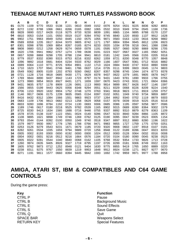# **TEENAGE MUTANT HERO TURTLES PASSWORD BOOK**

|    | A    | в    | $\mathbf c$ | D    | E    | F    | G    | H    |      | J    | Κ    | L    | M    | N    | O    | P    |
|----|------|------|-------------|------|------|------|------|------|------|------|------|------|------|------|------|------|
| 01 | 0170 | 1109 | 9770        | 0533 | 0138 | 1221 | 0610 | 0049 | 0152 | 0076 | 9254 | 0531 | 9225 | 8836 | 9282 | 8855 |
| 02 | 8272 | 1192 | 8788        | 1066 | 0661 | 8266 | 0165 | 0082 | 1065 | 0532 | 0010 | 9349 | 9794 | 0545 | 1168 | 1736 |
| 03 | 9828 | 0690 | 0217        | 8428 | 0118 | 9275 | 8733 | 9230 | 8839 | 1091 | 8865 | 1104 | 9895 | 8788 | 0170 | 1237 |
| 04 | 6810 | 0053 | 0154        | 1101 | 0550 | 0019 | 0137 | 9284 | 9782 | 9745 | 8840 | 1220 | 8930 | 1137 | 9912 | 1628 |
| 05 | 9902 | 1751 | 9963        | 8949 | 0250 | 8445 | 1150 | 0575 | 1055 | 9871 | 0583 | 0163 | 1233 | 0616 | 9268 | 9882 |
| 06 | 0589 | 8358 | 1235        | 0617 | 8244 | 9370 | 9805 | 8742 | 1171 | 1797 | 8804 | 9394 | 9945 | 8812 | 1206 | 8923 |
| 07 | 8301 | 9398 | 8795        | 1069 | 8854 | 8267 | 0165 | 8274 | 8233 | 0020 | 1034 | 8709 | 9218 | 0641 | 1088 | 1596 |
| 08 | 9808 | 0680 | 0212        | 1258 | 0629 | 9274 | 0659 | 0078 | 1191 | 0595 | 9257 | 0660 | 9290 | 8869 | 9298 | 1705 |
| 09 | 1620 | 1706 | 9941        | 9962 | 0757 | 1274 | 1789 | 0638 | 0191 | 0223 | 9327 | 0567 | 0027 | 1165 | 0582 | 9251 |
| 10 | 0657 | 9288 | 8868        | 9298 | 1705 | 8788 | 1194 | 9941 | 8810 | 0181 | 1242 | 1645 | 0566 | 0155 | 0205 | 9318 |
| 11 | 9779 | 0537 | 8332        | 8390 | 9315 | 8753 | 8216 | 8332 | 8262 | 1059 | 8721 | 8200 | 9348 | 8770 | 1057 | 8848 |
| 12 | 1096 | 9892 | 1618        | 0681 | 8404 | 0234 | 9333 | 8762 | 0029 | 1166 | 1607 | 0547 | 9361 | 0712 | 9316 | 8882 |
| 13 | 0089 | 8364 | 1110        | 9771 | 8725 | 9354 | 8901 | 1122 | 1713 | 1624 | 0684 | 9430 | 0747 | 9333 | 8890 | 9309 |
| 14 | 1710 | 1623 | 1707        | 9941 | 0746 | 9461 | 1786 | 0637 | 1214 | 0735 | 0111 | 9399 | 0603 | 0045 | 1174 | 9803 |
| 15 | 0549 | 9362 | 8905        | 0100 | 1202 | 8793 | 9260 | 0662 | 8267 | 8357 | 9298 | 8745 | 1044 | 1674 | 8773 | 9378 |
| 16 | 0721 | 1128 | 1716        | 9818 | 0685 | 9430 | 1771 | 0629 | 8378 | 9437 | 0622 | 1079 | 1691 | 9805 | 0678 | 9427 |
| 17 | 1769 | 9844 | 8890        | 9437 | 8942 | 1143 | 1723 | 8797 | 0174 | 9431 | 1643 | 9781 | 1690 | 9933 | 1766 | 0755 |
| 18 | 1273 | 9980 | 9854        | 9919 | 8927 | 8431 | 1271 | 1659 | 1597 | 0670 | 9423 | 0743 | 9331 | 1721 | 0604 | 8366 |
| 19 | 9431 | 9835 | 8757        | 1178 | 8909 | 1126 | 0691 | 1113 | 9900 | 9814 | 9899 | 8917 | 8426 | 8437 | 1146 | 1597 |
| 20 | 1566 | 0655 | 0199        | 9443 | 0625 | 0056 | 8348 | 9294 | 0551 | 8211 | 8329 | 0068 | 8226 | 8209 | 9224 | 1540 |
| 21 | 8706 | 1153 | 9920        | 1632 | 9904 | 1752 | 0748 | 1270 | 0763 | 9341 | 9918 | 9823 | 1711 | 8919 | 1259 | 0757 |
| 22 | 1146 | 9917 | 0606        | 0175 | 1239 | 9835 | 0565 | 0154 | 8397 | 0102 | 0051 | 1049 | 9740 | 9734 | 9859 | 8897 |
| 23 | 8416 | 8432 | 8312        | 1084 | 1566 | 1551 | 9863 | 9923 | 0737 | 1264 | 8952 | 9340 | 0702 | 1119 | 8879 | 9303 |
| 24 | 0683 | 1109 | 1706        | 9813 | 0682 | 0213 | 1258 | 0629 | 0058 | 0157 | 0078 | 0039 | 0019 | 9225 | 0516 | 9218 |
| 25 | 8833 | 9280 | 1696        | 8784 | 1192 | 0724 | 1130 | 0693 | 9306 | 0685 | 0086 | 1195 | 0597 | 9258 | 9877 | 0586 |
| 26 | 1189 | 1746 | 0617        | 0180 | 0218 | 9525 | 9782 | 0539 | 1165 | 8902 | 9315 | 0689 | 8280 | 8364 | 9302 | 1579 |
| 27 | 8725 | 8330 | 9413        | 1634 | 1585 | 1688 | 0716 | 9446 | 0755 | 9337 | 8892 | 9310 | 8879 | 8279 | 8363 | 1109 |
| 28 | 1578 | 8725 | 0138        | 0197 | 1122 | 0561 | 0024 | 0140 | 9286 | 0547 | 9233 | 8840 | 9284 | 8866 | 1105 | 8872 |
| 29 | 1108 | 9895 | 1621        | 9898 | 1749 | 0746 | 1269 | 0762 | 0125 | 0190 | 0095 | 0047 | 9239 | 0523 | 0005 | 1154 |
| 30 | 9793 | 0544 | 0144        | 8392 | 0100 | 0050 | 1049 | 9740 | 0518 | 9347 | 8897 | 9312 | 8880 | 8280 | 1196 | 1622 |
| 31 | 1579 | 9977 | 9930        | 9957 | 1778 | 1785 | 1788 | 0766 | 9471 | 9983 | 9855 | 1727 | 1759 | 1775 | 0759 | 0251 |
| 32 | 0253 | 0126 | 9279        | 0543 | 9231 | 1671 | 0679 | 1185 | 0720 | 9320 | 9908 | 0602 | 1197 | 8918 | 0107 | 0181 |
| 33 | 8282 | 9261 | 0534        | 1035 | 1659 | 9794 | 9889 | 0720 | 1256 | 8948 | 0122 | 0189 | 8286 | 0047 | 0023 | 8203 |
| 34 | 0005 | 0002 | 8193        | 0000 | 0000 | 8192 | 0000 | 0000 | 1024 | 0512 | 0000 | 0128 | 0064 | 0032 | 0016 | 0008 |
| 35 | 0004 | 0002 | 0001        | 9216 | 0512 | 9216 | 1664 | 0576 | 1184 | 0720 | 0104 | 0180 | 0090 | 0045 | 9238 | 0523 |
| 36 | 0005 | 8322 | 9281        | 0544 | 1040 | 8840 | 0068 | 0162 | 1105 | 9768 | 0532 | 9354 | 1733 | 9826 | 1713 | 0728 |
| 37 | 1260 | 9974 | 0635        | 9405 | 8926 | 9327 | 1719 | 8795 | 1197 | 0726 | 8299 | 0181 | 9306 | 8749 | 0022 | 1163 |
| 38 | 1605 | 9762 | 9873        | 0712 | 1252 | 8948 | 0121 | 9404 | 1630 | 9775 | 8855 | 9419 | 1765 | 1650 | 8889 | 0220 |
| 39 | 0238 | 8311 | 9275        | 9767 | 1550 | 8839 | 1219 | 9953 | 1648 | 9912 | 8924 | 0238 | 1271 | 8827 | 9277 | 0670 |
| 40 | 8271 | 1191 | 9811        | 1577 | 0660 | 8394 | 9445 | 9842 | 1593 | 1692 | 1742 | 9959 | 9971 | 9977 | 1788 | 8958 |

## **AMIGA, ATARI ST, IBM & COMPATIBLES AND C64 GAME CONTROLS**

During the game press:

**Key Function** CTRL P<br>CTRL B<br>CTRL B CTRL E Sound Effects CTRL S
Save Game CTRL Q Quit

Background Music SPACE BAR Weapons Select RETURN KEY Special Features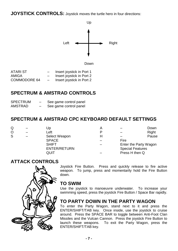**JOYSTICK CONTROLS:** Joystick moves the turtle hero in four directions:



| ATARI ST            |                 | Insert joystick in Port 1 |
|---------------------|-----------------|---------------------------|
| AMIGA               |                 | Insert joystick in Port 2 |
| <b>COMMODORE 64</b> | $\qquad \qquad$ | Insert joystick in Port 2 |

## **SPECTRUM & AMSTRAD CONTROLS**

| <b>SPECTRUM</b> | - | See game control panel |
|-----------------|---|------------------------|
| <b>AMSTRAD</b>  | _ | See game control panel |

## **SPECTRUM & AMSTRAD CPC KEYBOARD DEFAULT SETTINGS**

| Q       | Jp                  | A |                         | Down                  |
|---------|---------------------|---|-------------------------|-----------------------|
| $\circ$ | Left                |   |                         | Right                 |
| S       | Select Weapon       | н |                         | Pause                 |
|         | <b>SPACE</b>        |   | Fire                    |                       |
|         | <b>SHIFT</b>        |   |                         | Enter the Party Wagon |
|         | <b>ENTER/RETURN</b> |   | <b>Special Features</b> |                       |
|         | QUIT                |   | Press H then Q          |                       |

#### **ATTACK CONTROLS**



Joystick Fire Button. Press and quickly release to fire active weapon. To jump, press and momentarily hold the Fire Button down.

#### **TO SWIM**

Use the joystick to manoeuvre underwater. To increase your swimming speed, press the joystick Fire Button / Space Bar rapidly.

## **TO PARTY DOWN IN THE PARTY WAGON**

To enter the Party Wagon, stand next to it and press the ENTER/SHIFT/TAB key. Once inside, use the joystick to cruise around. Press the SPACE BAR to toggle between Anti-Foot Clan Missiles and the Vulcan Cannon. Press the joystick Fire Button to launch these weapons. To exit the Party Wagon, press the ENTER/SHIFT/TAB key.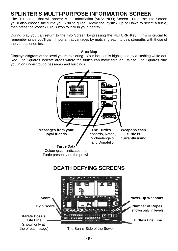# **SPLINTER'S MULTI-PURPOSE INFORMATION SCREEN**

The first screen that will appear is the Information (AKA: INFO) Screen. From the Info Screen you'll also choose the turtle you wish to guide. Move the joystick Up or Down to select a turtle, then press the joystick Fire Button to lock in your identity.

During play you can return to the Info Screen by pressing the RETURN Key. This is crucial to remember since you'll gain important advantages by matching each turtle's strengths with those of the various enemies.

#### **Area Map**

Displays diagram of the level you're exploring. Your location is highlighted by a flashing white dot. Red Grid Squares indicate areas where the turtles can move through. White Grid Squares clue you in on underground passages and buildings.

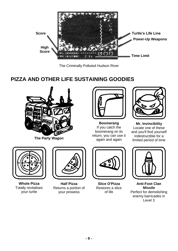

The Criminally Polluted Hudson River

# **PIZZA AND OTHER LIFE SUSTAINING GOODIES**



**The Party Wagon**



**Boomerang** If you catch the boomerang on its return, you can use it again and again



**Mr. Invincibility** Locate one of these and you'll find yourself indestructible for a limited period of time



**Whole Pizza** Totally revitalises your turtle



**Half Pizza** Returns a portion of your prowess



**Slice O'Pizza** Restores a slice of life



**Anti-Foot Clan Missile** Perfect for demolishing enemy barricades in Level 3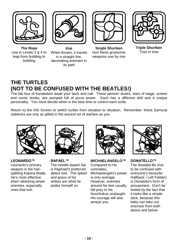







**The Rope** Use in Levels 3 & 4 to leap from building to building

**Kiai** When thrown, it travels in a straight line, decimating enemies in its path

**Single Shuriken** Hurl these gruesome weapons one by one

**Triple Shuriken** Toss in trios

# **THE TURTLES (NOT TO BE CONFUSED WITH THE BEATLES!)**

The fab four of Karatedom await your beck and call. These jammin' dudes, stars of stage, screen and comic books, are pumped full of pizza power. Each has a different skill and a unique personality. You must decide when is the best time to control each turtle.

Return to the Info Screen to switch turtles from situation to situation. Remember: these Samurai sidekicks are only as gifted in the ancient art of warfare as you.



**LEONARDO™** Leonardo's primary weapon is the hairsplitting Katana Blade. He's most effective when attacking sewer enemies, especially ones that lurk.



**RAFAEL™** The needle-tipped Sai is Raphael's preferred attack tool. The speed and grace of his strikes are what he prides himself on.



**MICHAELANGELO™**

Compared to his comrades, Michaelangelo's power is only average. However, enemies around his feet usually fall prey to his Nunchukus onslaught. His courage will also amaze you.



**DONATELLO™** The dreaded Bo (not to be confused with everyone's favourite Halfback / Left Fielder) is Donatello's form of amusement. Don't be fooled by the fact that it looks like a simple stick, because this baby can take out enemies from both above and below.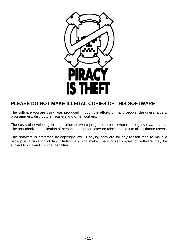

## **PLEASE DO NOT MAKE ILLEGAL COPIES OF THIS SOFTWARE**

The software you are using was produced through the efforts of many people: designers, artists, programmers, distributors, retailers and other workers.

The costs of developing this and other software programs are recovered through software sales. The unauthorized duplication of personal computer software raises the cost to all legitimate users.

This software is protected by copyright law. Copying software for any reason than to make a backup is a violation of law. Individuals who make unauthorized copies of software may be subject to civil and criminal penalties.